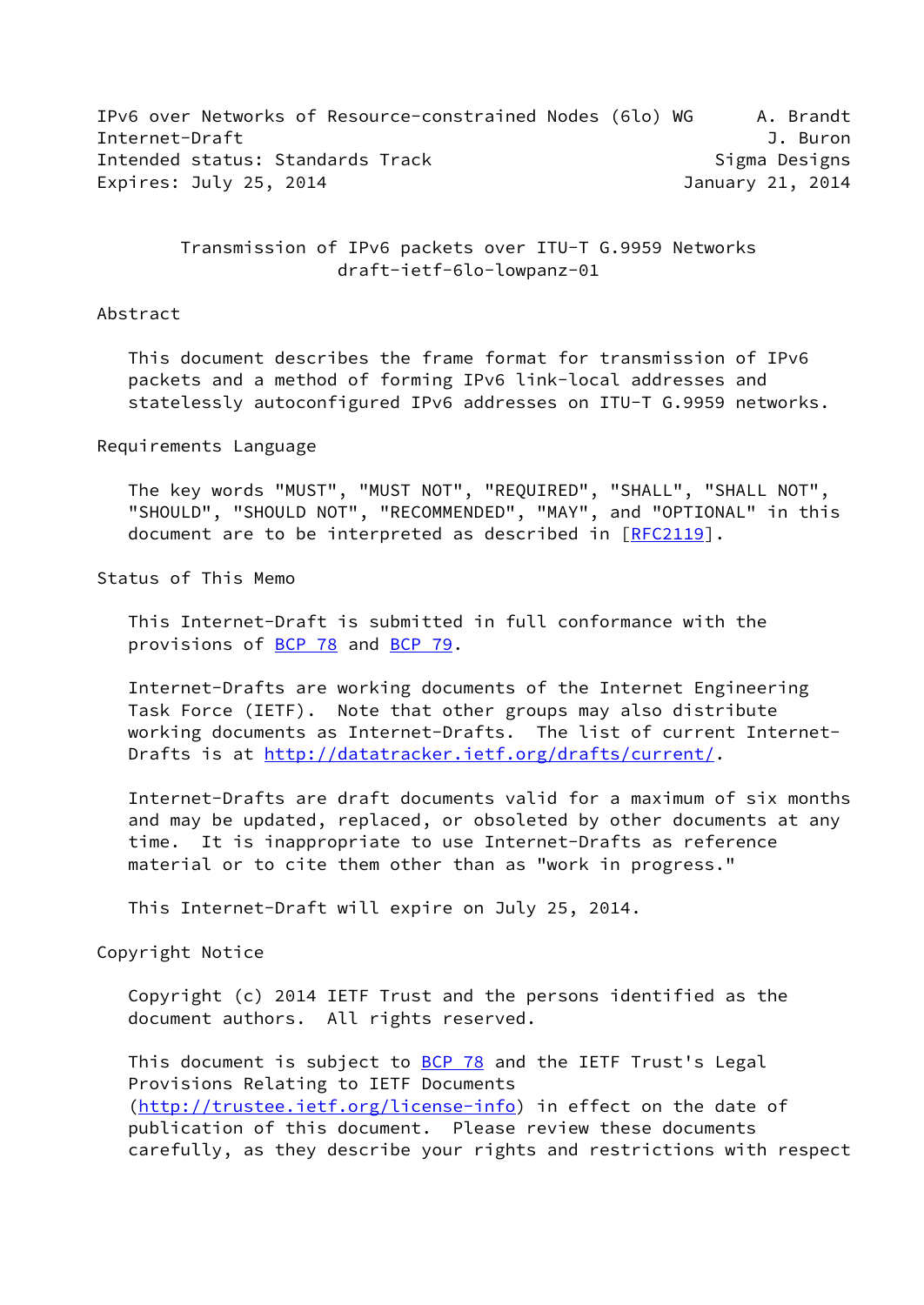IPv6 over Networks of Resource-constrained Nodes (6lo) WG A. Brandt Internet-Draft **J. Buron** Intended status: Standards Track Sigma Designs Expires: July 25, 2014 **January 21, 2014** 

> Transmission of IPv6 packets over ITU-T G.9959 Networks draft-ietf-6lo-lowpanz-01

#### Abstract

 This document describes the frame format for transmission of IPv6 packets and a method of forming IPv6 link-local addresses and statelessly autoconfigured IPv6 addresses on ITU-T G.9959 networks.

Requirements Language

 The key words "MUST", "MUST NOT", "REQUIRED", "SHALL", "SHALL NOT", "SHOULD", "SHOULD NOT", "RECOMMENDED", "MAY", and "OPTIONAL" in this document are to be interpreted as described in [\[RFC2119](https://datatracker.ietf.org/doc/pdf/rfc2119)].

Status of This Memo

 This Internet-Draft is submitted in full conformance with the provisions of [BCP 78](https://datatracker.ietf.org/doc/pdf/bcp78) and [BCP 79](https://datatracker.ietf.org/doc/pdf/bcp79).

 Internet-Drafts are working documents of the Internet Engineering Task Force (IETF). Note that other groups may also distribute working documents as Internet-Drafts. The list of current Internet- Drafts is at<http://datatracker.ietf.org/drafts/current/>.

 Internet-Drafts are draft documents valid for a maximum of six months and may be updated, replaced, or obsoleted by other documents at any time. It is inappropriate to use Internet-Drafts as reference material or to cite them other than as "work in progress."

This Internet-Draft will expire on July 25, 2014.

Copyright Notice

 Copyright (c) 2014 IETF Trust and the persons identified as the document authors. All rights reserved.

This document is subject to **[BCP 78](https://datatracker.ietf.org/doc/pdf/bcp78)** and the IETF Trust's Legal Provisions Relating to IETF Documents [\(http://trustee.ietf.org/license-info](http://trustee.ietf.org/license-info)) in effect on the date of publication of this document. Please review these documents carefully, as they describe your rights and restrictions with respect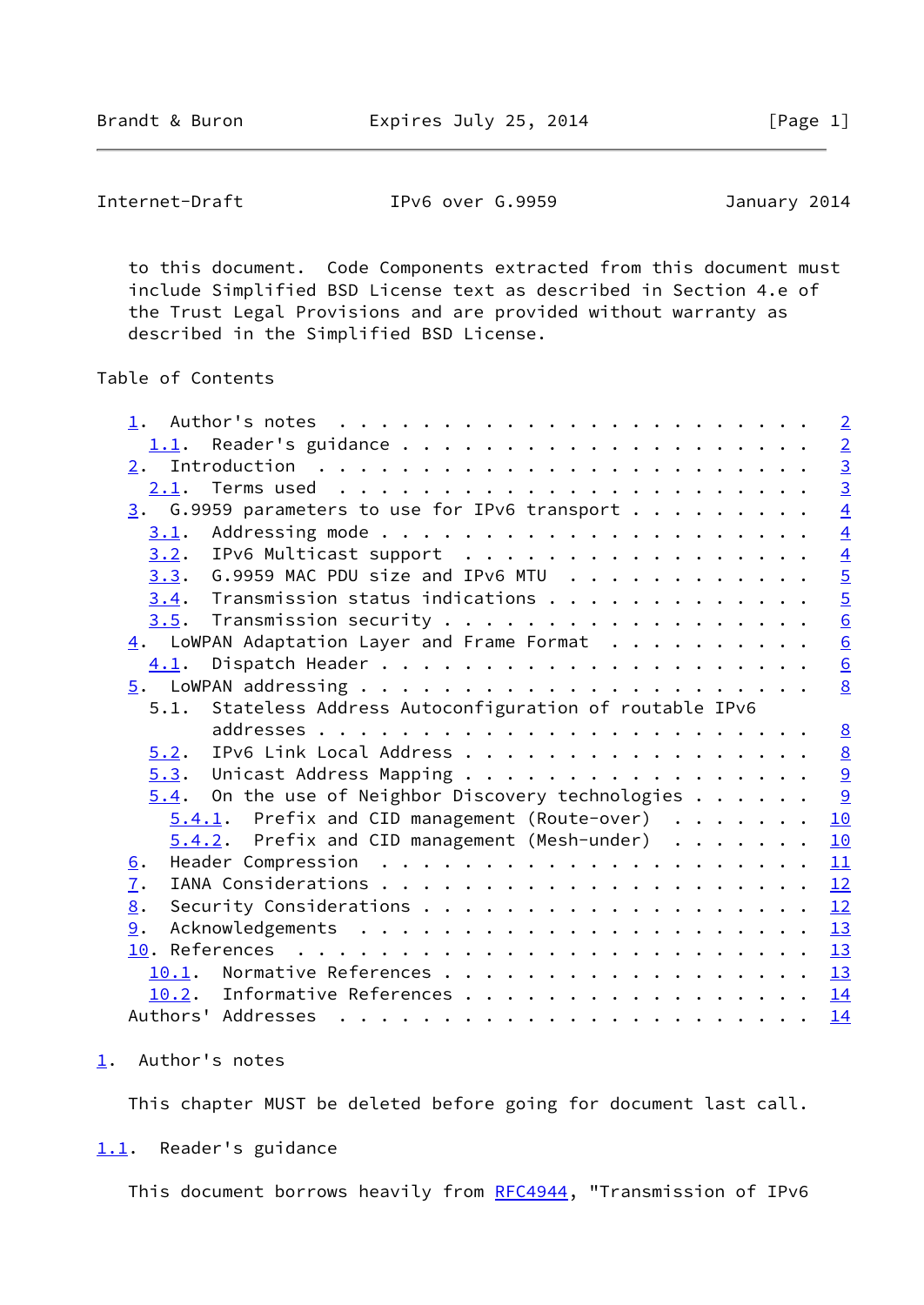<span id="page-1-1"></span>Internet-Draft IPv6 over G.9959 January 2014

 to this document. Code Components extracted from this document must include Simplified BSD License text as described in Section 4.e of the Trust Legal Provisions and are provided without warranty as described in the Simplified BSD License.

# Table of Contents

|                                                                                                                                                                                                                                                                                                                                                                                                                                                                                                               | $\overline{2}$  |
|---------------------------------------------------------------------------------------------------------------------------------------------------------------------------------------------------------------------------------------------------------------------------------------------------------------------------------------------------------------------------------------------------------------------------------------------------------------------------------------------------------------|-----------------|
|                                                                                                                                                                                                                                                                                                                                                                                                                                                                                                               | $\overline{2}$  |
|                                                                                                                                                                                                                                                                                                                                                                                                                                                                                                               | $\frac{3}{3}$   |
|                                                                                                                                                                                                                                                                                                                                                                                                                                                                                                               |                 |
| $\frac{3}{2}$ . G.9959 parameters to use for IPv6 transport                                                                                                                                                                                                                                                                                                                                                                                                                                                   | $\overline{4}$  |
| 3.1.                                                                                                                                                                                                                                                                                                                                                                                                                                                                                                          | $\overline{4}$  |
| IPv6 Multicast support<br>3.2.                                                                                                                                                                                                                                                                                                                                                                                                                                                                                | $\overline{4}$  |
| 3.3. G.9959 MAC PDU size and IPv6 MTU                                                                                                                                                                                                                                                                                                                                                                                                                                                                         | $\overline{5}$  |
| $3.4$ . Transmission status indications                                                                                                                                                                                                                                                                                                                                                                                                                                                                       | $\overline{5}$  |
|                                                                                                                                                                                                                                                                                                                                                                                                                                                                                                               | $\underline{6}$ |
| $\frac{4}{1}$ . LoWPAN Adaptation Layer and Frame Format                                                                                                                                                                                                                                                                                                                                                                                                                                                      | $\underline{6}$ |
| 4.1.                                                                                                                                                                                                                                                                                                                                                                                                                                                                                                          | $\underline{6}$ |
|                                                                                                                                                                                                                                                                                                                                                                                                                                                                                                               | 8               |
| 5.1. Stateless Address Autoconfiguration of routable IPv6                                                                                                                                                                                                                                                                                                                                                                                                                                                     |                 |
|                                                                                                                                                                                                                                                                                                                                                                                                                                                                                                               | 8               |
| IPv6 Link Local Address<br>5.2.                                                                                                                                                                                                                                                                                                                                                                                                                                                                               | $\underline{8}$ |
| 5.3. Unicast Address Mapping                                                                                                                                                                                                                                                                                                                                                                                                                                                                                  | $\overline{9}$  |
| $5.4$ . On the use of Neighbor Discovery technologies                                                                                                                                                                                                                                                                                                                                                                                                                                                         | 9               |
| $5.4.1$ . Prefix and CID management (Route-over)                                                                                                                                                                                                                                                                                                                                                                                                                                                              | 10              |
| $5.4.2$ . Prefix and CID management (Mesh-under)                                                                                                                                                                                                                                                                                                                                                                                                                                                              | 10              |
| <u>6</u> .                                                                                                                                                                                                                                                                                                                                                                                                                                                                                                    | 11              |
| 7.                                                                                                                                                                                                                                                                                                                                                                                                                                                                                                            | 12              |
| 8.                                                                                                                                                                                                                                                                                                                                                                                                                                                                                                            | 12              |
| 9.                                                                                                                                                                                                                                                                                                                                                                                                                                                                                                            | 13              |
|                                                                                                                                                                                                                                                                                                                                                                                                                                                                                                               | 13              |
| 10.1. Normative References                                                                                                                                                                                                                                                                                                                                                                                                                                                                                    | 13              |
| 10.2. Informative References                                                                                                                                                                                                                                                                                                                                                                                                                                                                                  | 14              |
| Authors' Addresses<br>$\mathbf{r}^{\mathsf{T}} \cdot \mathbf{r}^{\mathsf{T}} \cdot \mathbf{r}^{\mathsf{T}} \cdot \mathbf{r}^{\mathsf{T}} \cdot \mathbf{r}^{\mathsf{T}} \cdot \mathbf{r}^{\mathsf{T}} \cdot \mathbf{r}^{\mathsf{T}} \cdot \mathbf{r}^{\mathsf{T}} \cdot \mathbf{r}^{\mathsf{T}} \cdot \mathbf{r}^{\mathsf{T}} \cdot \mathbf{r}^{\mathsf{T}} \cdot \mathbf{r}^{\mathsf{T}} \cdot \mathbf{r}^{\mathsf{T}} \cdot \mathbf{r}^{\mathsf{T}} \cdot \mathbf{r}^{\mathsf{T}} \cdot \mathbf{r}^{\mathsf$ | 14              |
|                                                                                                                                                                                                                                                                                                                                                                                                                                                                                                               |                 |

#### <span id="page-1-0"></span>[1](#page-1-0). Author's notes

This chapter MUST be deleted before going for document last call.

## <span id="page-1-2"></span>[1.1](#page-1-2). Reader's guidance

This document borrows heavily from [RFC4944](https://datatracker.ietf.org/doc/pdf/rfc4944), "Transmission of IPv6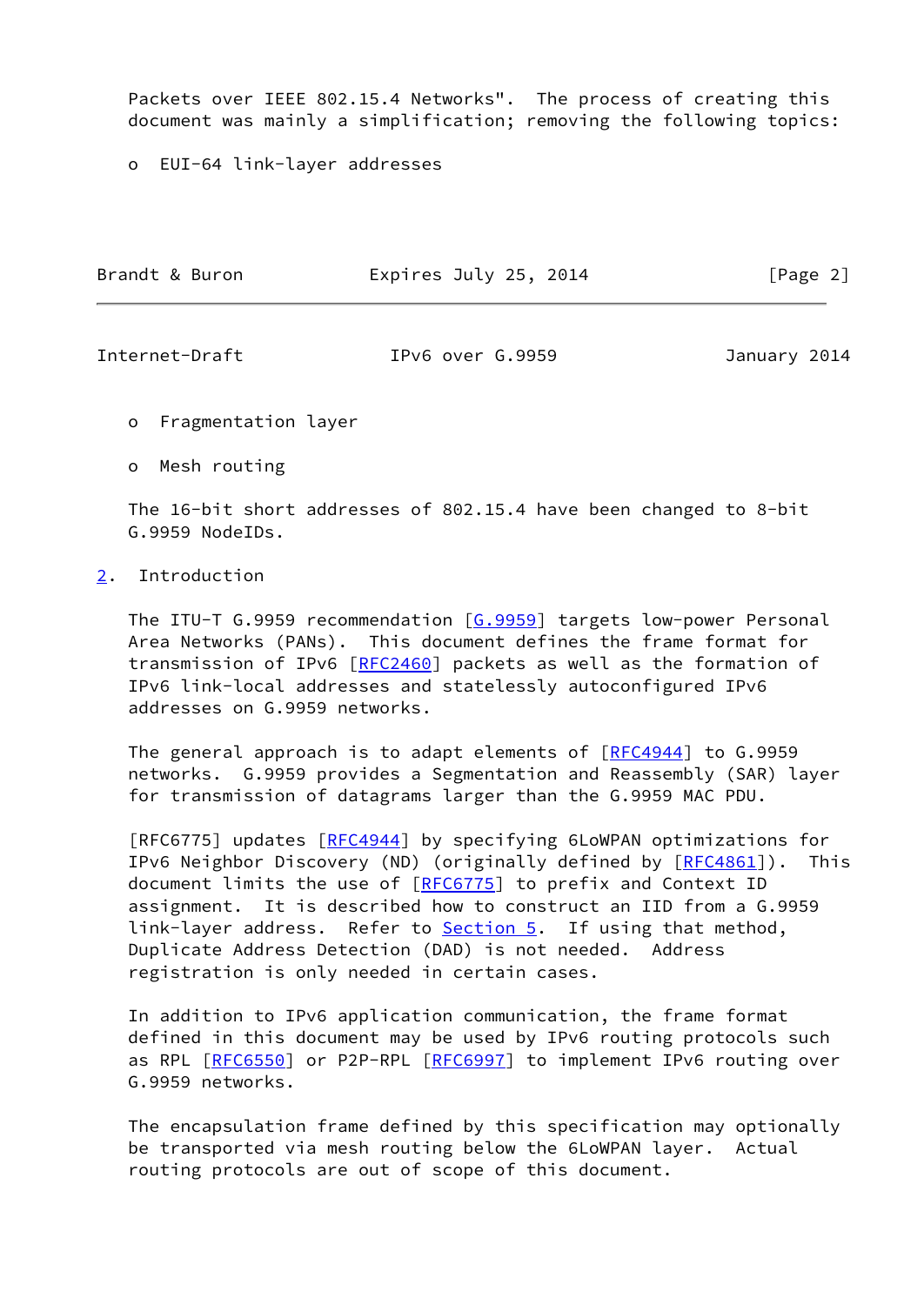Packets over IEEE 802.15.4 Networks". The process of creating this document was mainly a simplification; removing the following topics:

o EUI-64 link-layer addresses

| Brandt & Buron | Expires July 25, 2014 | [Page 2] |
|----------------|-----------------------|----------|
|                |                       |          |

<span id="page-2-1"></span>

Internet-Draft IPv6 over G.9959 January 2014

o Fragmentation layer

o Mesh routing

 The 16-bit short addresses of 802.15.4 have been changed to 8-bit G.9959 NodeIDs.

# <span id="page-2-0"></span>[2](#page-2-0). Introduction

The ITU-T G.9959 recommendation [\[G.9959](#page-14-1)] targets low-power Personal Area Networks (PANs). This document defines the frame format for transmission of IPv6 [\[RFC2460](https://datatracker.ietf.org/doc/pdf/rfc2460)] packets as well as the formation of IPv6 link-local addresses and statelessly autoconfigured IPv6 addresses on G.9959 networks.

 The general approach is to adapt elements of [\[RFC4944](https://datatracker.ietf.org/doc/pdf/rfc4944)] to G.9959 networks. G.9959 provides a Segmentation and Reassembly (SAR) layer for transmission of datagrams larger than the G.9959 MAC PDU.

 [RFC6775] updates [[RFC4944](https://datatracker.ietf.org/doc/pdf/rfc4944)] by specifying 6LoWPAN optimizations for IPv6 Neighbor Discovery (ND) (originally defined by  $[REC4861]$ ). This document limits the use of [[RFC6775\]](https://datatracker.ietf.org/doc/pdf/rfc6775) to prefix and Context ID assignment. It is described how to construct an IID from a G.9959 link-layer address. Refer to **Section 5**. If using that method, Duplicate Address Detection (DAD) is not needed. Address registration is only needed in certain cases.

 In addition to IPv6 application communication, the frame format defined in this document may be used by IPv6 routing protocols such as RPL [\[RFC6550](https://datatracker.ietf.org/doc/pdf/rfc6550)] or P2P-RPL [\[RFC6997](https://datatracker.ietf.org/doc/pdf/rfc6997)] to implement IPv6 routing over G.9959 networks.

 The encapsulation frame defined by this specification may optionally be transported via mesh routing below the 6LoWPAN layer. Actual routing protocols are out of scope of this document.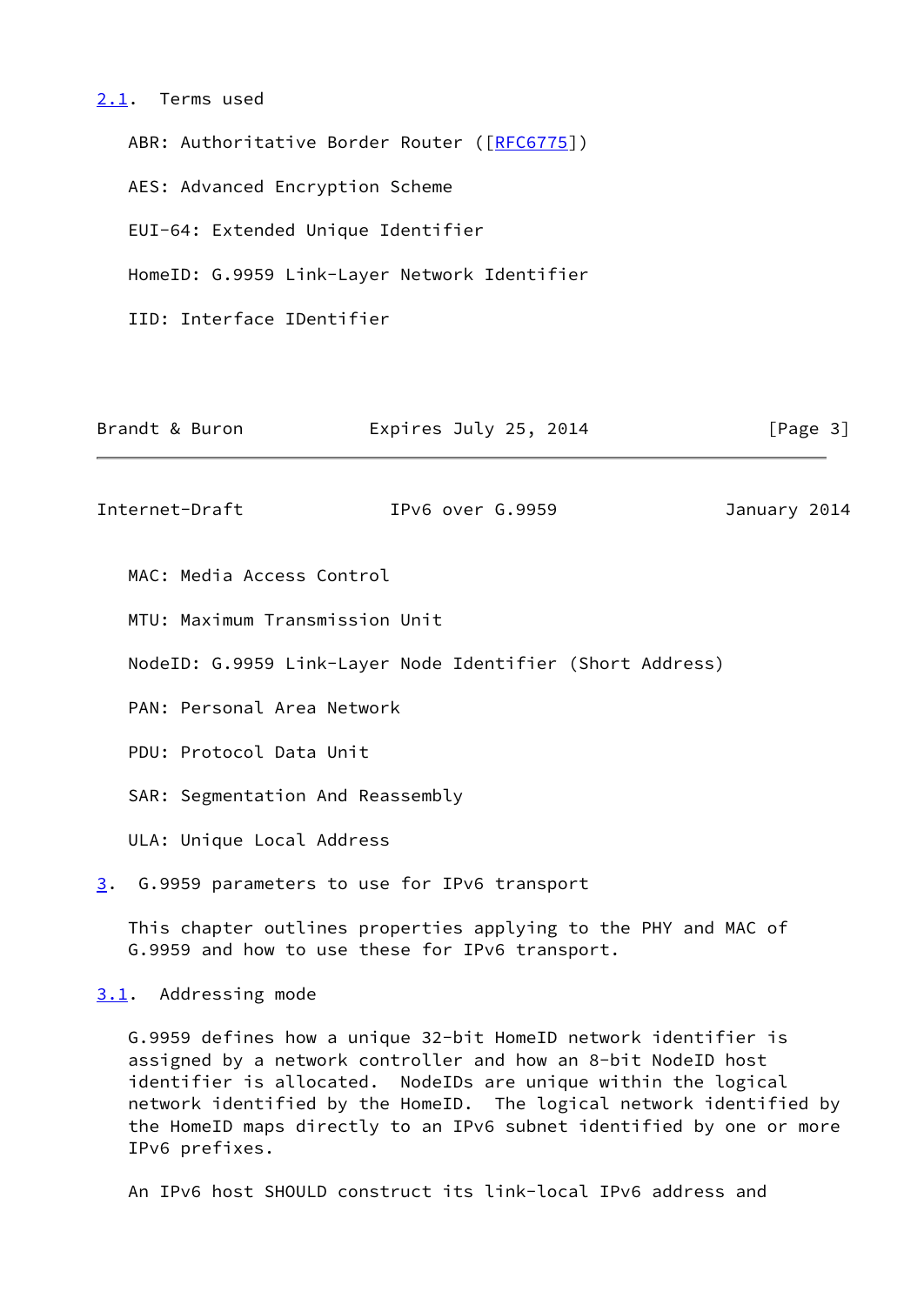#### <span id="page-3-0"></span>[2.1](#page-3-0). Terms used

ABR: Authoritative Border Router ([[RFC6775](https://datatracker.ietf.org/doc/pdf/rfc6775)]) AES: Advanced Encryption Scheme EUI-64: Extended Unique Identifier HomeID: G.9959 Link-Layer Network Identifier IID: Interface IDentifier

<span id="page-3-2"></span>

| Brandt & Buron                   | Expires July 25, 2014                                           | [Page 3]     |
|----------------------------------|-----------------------------------------------------------------|--------------|
| Internet-Draft                   | IPv6 over G.9959                                                | January 2014 |
| MAC: Media Access Control        |                                                                 |              |
| MTU: Maximum Transmission Unit   |                                                                 |              |
|                                  | NodeID: G.9959 Link-Layer Node Identifier (Short Address)       |              |
| PAN: Personal Area Network       |                                                                 |              |
| PDU: Protocol Data Unit          |                                                                 |              |
| SAR: Segmentation And Reassembly |                                                                 |              |
| ULA: Unique Local Address        |                                                                 |              |
| 3.                               | G.9959 parameters to use for IPv6 transport                     |              |
|                                  | This chapter outlines properties applying to the PHY and MAC of |              |

<span id="page-3-3"></span>[3.1](#page-3-3). Addressing mode

 G.9959 defines how a unique 32-bit HomeID network identifier is assigned by a network controller and how an 8-bit NodeID host identifier is allocated. NodeIDs are unique within the logical network identified by the HomeID. The logical network identified by the HomeID maps directly to an IPv6 subnet identified by one or more IPv6 prefixes.

An IPv6 host SHOULD construct its link-local IPv6 address and

<span id="page-3-1"></span>G.9959 and how to use these for IPv6 transport.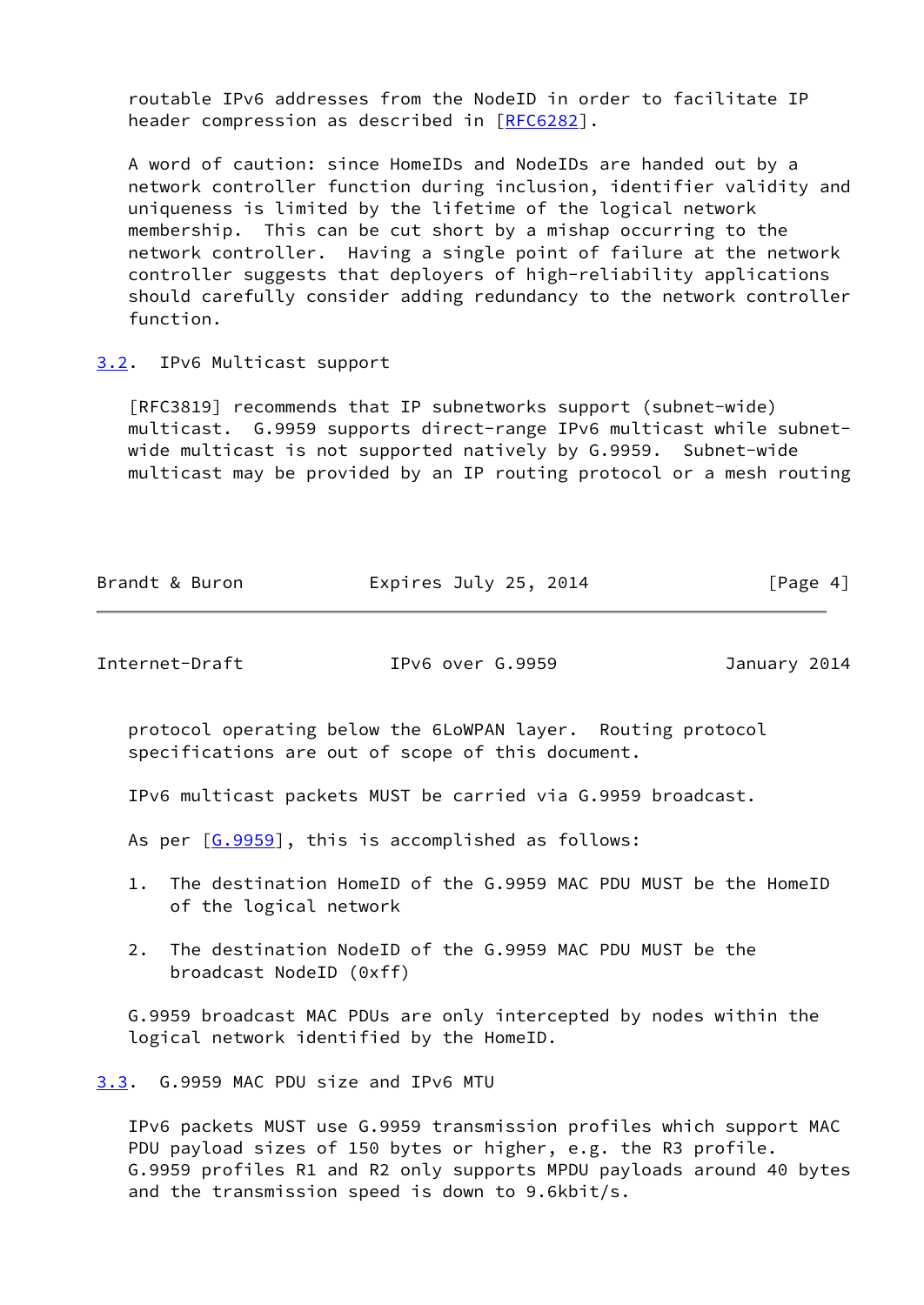routable IPv6 addresses from the NodeID in order to facilitate IP header compression as described in [[RFC6282\]](https://datatracker.ietf.org/doc/pdf/rfc6282).

 A word of caution: since HomeIDs and NodeIDs are handed out by a network controller function during inclusion, identifier validity and uniqueness is limited by the lifetime of the logical network membership. This can be cut short by a mishap occurring to the network controller. Having a single point of failure at the network controller suggests that deployers of high-reliability applications should carefully consider adding redundancy to the network controller function.

<span id="page-4-0"></span>[3.2](#page-4-0). IPv6 Multicast support

 [RFC3819] recommends that IP subnetworks support (subnet-wide) multicast. G.9959 supports direct-range IPv6 multicast while subnet wide multicast is not supported natively by G.9959. Subnet-wide multicast may be provided by an IP routing protocol or a mesh routing

|  | Brandt & Buron | Expires July 25, 2014 | [Page 4] |
|--|----------------|-----------------------|----------|
|--|----------------|-----------------------|----------|

<span id="page-4-2"></span>Internet-Draft IPv6 over G.9959 January 2014

 protocol operating below the 6LoWPAN layer. Routing protocol specifications are out of scope of this document.

IPv6 multicast packets MUST be carried via G.9959 broadcast.

As per [\[G.9959](#page-14-1)], this is accomplished as follows:

- 1. The destination HomeID of the G.9959 MAC PDU MUST be the HomeID of the logical network
- 2. The destination NodeID of the G.9959 MAC PDU MUST be the broadcast NodeID (0xff)

 G.9959 broadcast MAC PDUs are only intercepted by nodes within the logical network identified by the HomeID.

<span id="page-4-1"></span>[3.3](#page-4-1). G.9959 MAC PDU size and IPv6 MTU

 IPv6 packets MUST use G.9959 transmission profiles which support MAC PDU payload sizes of 150 bytes or higher, e.g. the R3 profile. G.9959 profiles R1 and R2 only supports MPDU payloads around 40 bytes and the transmission speed is down to 9.6kbit/s.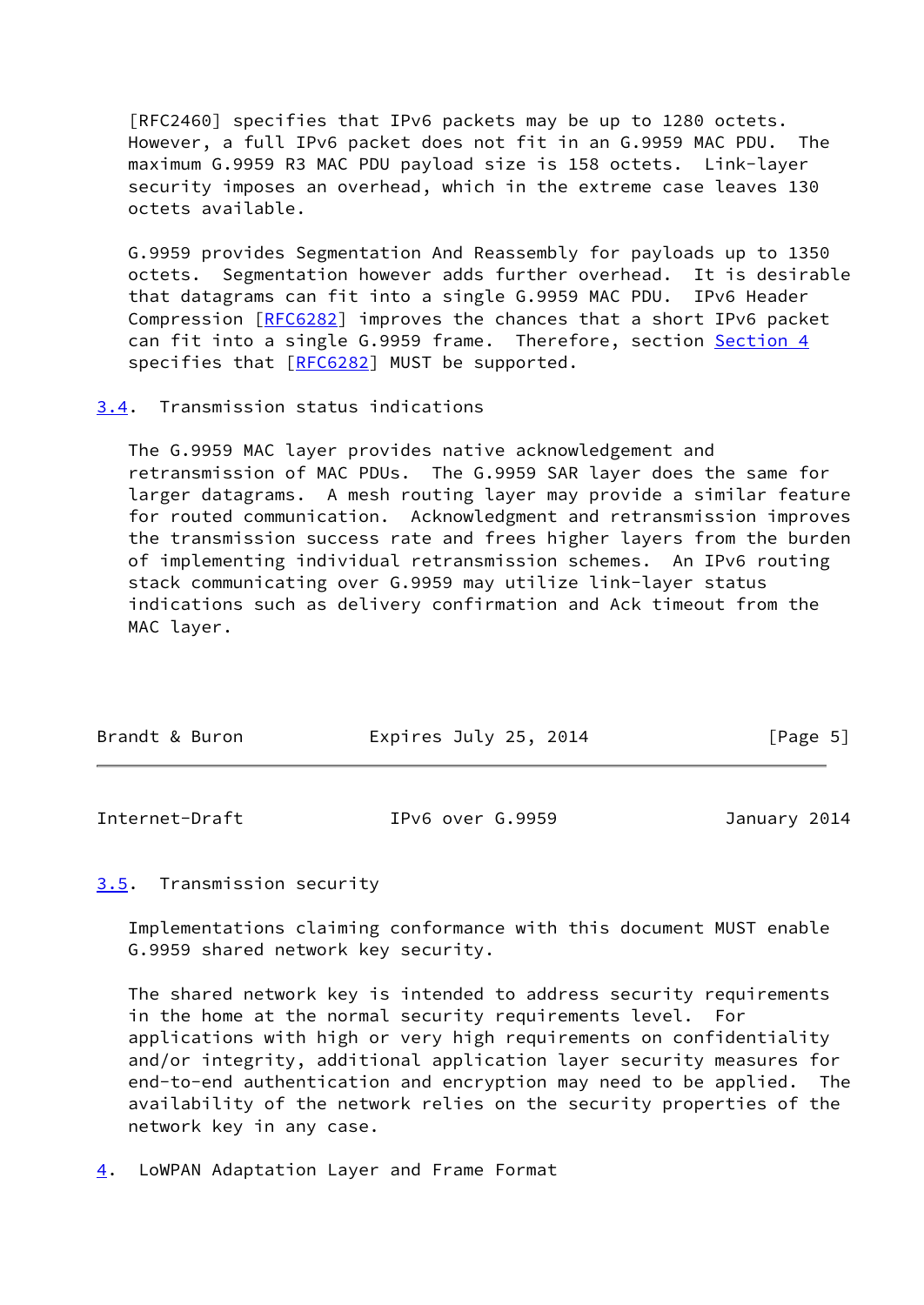[RFC2460] specifies that IPv6 packets may be up to 1280 octets. However, a full IPv6 packet does not fit in an G.9959 MAC PDU. The maximum G.9959 R3 MAC PDU payload size is 158 octets. Link-layer security imposes an overhead, which in the extreme case leaves 130 octets available.

 G.9959 provides Segmentation And Reassembly for payloads up to 1350 octets. Segmentation however adds further overhead. It is desirable that datagrams can fit into a single G.9959 MAC PDU. IPv6 Header Compression [\[RFC6282](https://datatracker.ietf.org/doc/pdf/rfc6282)] improves the chances that a short IPv6 packet can fit into a single G.9959 frame. Therefore, section [Section 4](#page-5-3) specifies that [\[RFC6282](https://datatracker.ietf.org/doc/pdf/rfc6282)] MUST be supported.

#### <span id="page-5-0"></span>[3.4](#page-5-0). Transmission status indications

 The G.9959 MAC layer provides native acknowledgement and retransmission of MAC PDUs. The G.9959 SAR layer does the same for larger datagrams. A mesh routing layer may provide a similar feature for routed communication. Acknowledgment and retransmission improves the transmission success rate and frees higher layers from the burden of implementing individual retransmission schemes. An IPv6 routing stack communicating over G.9959 may utilize link-layer status indications such as delivery confirmation and Ack timeout from the MAC layer.

| Brandt & Buron | Expires July 25, 2014 | [Page 5] |
|----------------|-----------------------|----------|
|                |                       |          |

<span id="page-5-2"></span>Internet-Draft IPv6 over G.9959 January 2014

## <span id="page-5-1"></span>[3.5](#page-5-1). Transmission security

 Implementations claiming conformance with this document MUST enable G.9959 shared network key security.

 The shared network key is intended to address security requirements in the home at the normal security requirements level. For applications with high or very high requirements on confidentiality and/or integrity, additional application layer security measures for end-to-end authentication and encryption may need to be applied. The availability of the network relies on the security properties of the network key in any case.

<span id="page-5-3"></span>[4](#page-5-3). LoWPAN Adaptation Layer and Frame Format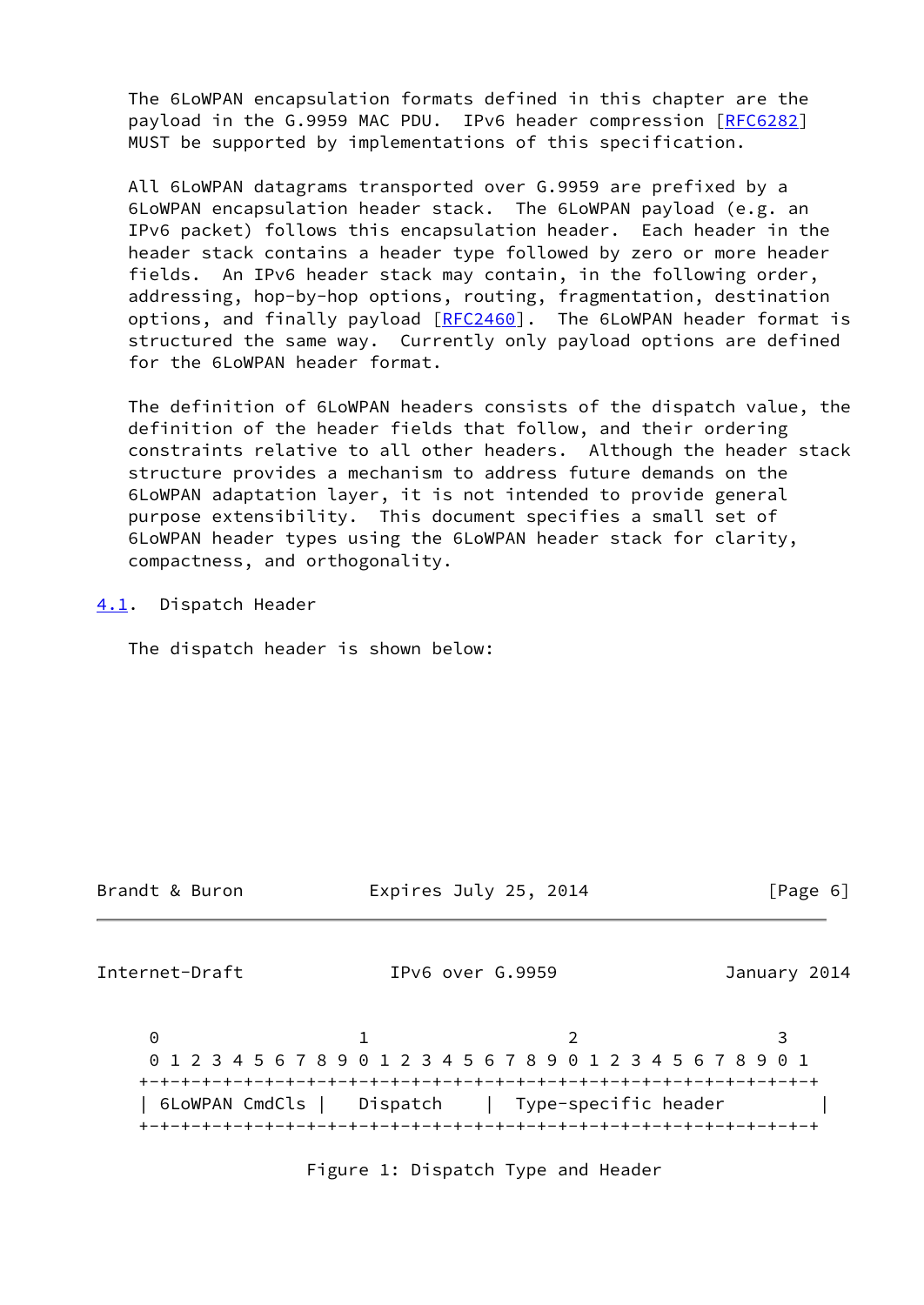The 6LoWPAN encapsulation formats defined in this chapter are the payload in the G.9959 MAC PDU. IPv6 header compression [\[RFC6282](https://datatracker.ietf.org/doc/pdf/rfc6282)] MUST be supported by implementations of this specification.

 All 6LoWPAN datagrams transported over G.9959 are prefixed by a 6LoWPAN encapsulation header stack. The 6LoWPAN payload (e.g. an IPv6 packet) follows this encapsulation header. Each header in the header stack contains a header type followed by zero or more header fields. An IPv6 header stack may contain, in the following order, addressing, hop-by-hop options, routing, fragmentation, destination options, and finally payload [\[RFC2460](https://datatracker.ietf.org/doc/pdf/rfc2460)]. The 6LoWPAN header format is structured the same way. Currently only payload options are defined for the 6LoWPAN header format.

 The definition of 6LoWPAN headers consists of the dispatch value, the definition of the header fields that follow, and their ordering constraints relative to all other headers. Although the header stack structure provides a mechanism to address future demands on the 6LoWPAN adaptation layer, it is not intended to provide general purpose extensibility. This document specifies a small set of 6LoWPAN header types using the 6LoWPAN header stack for clarity, compactness, and orthogonality.

<span id="page-6-0"></span>[4.1](#page-6-0). Dispatch Header

The dispatch header is shown below:

Brandt & Buron Expires July 25, 2014 [Page 6]

Internet-Draft IPv6 over G.9959 January 2014

0 1 2 3 0 1 2 3 4 5 6 7 8 9 0 1 2 3 4 5 6 7 8 9 0 1 2 3 4 5 6 7 8 9 0 1 +-+-+-+-+-+-+-+-+-+-+-+-+-+-+-+-+-+-+-+-+-+-+-+-+-+-+-+-+-+-+-+-+ | 6LoWPAN CmdCls | Dispatch | Type-specific header | +-+-+-+-+-+-+-+-+-+-+-+-+-+-+-+-+-+-+-+-+-+-+-+-+-+-+-+-+-+-+-+-+

Figure 1: Dispatch Type and Header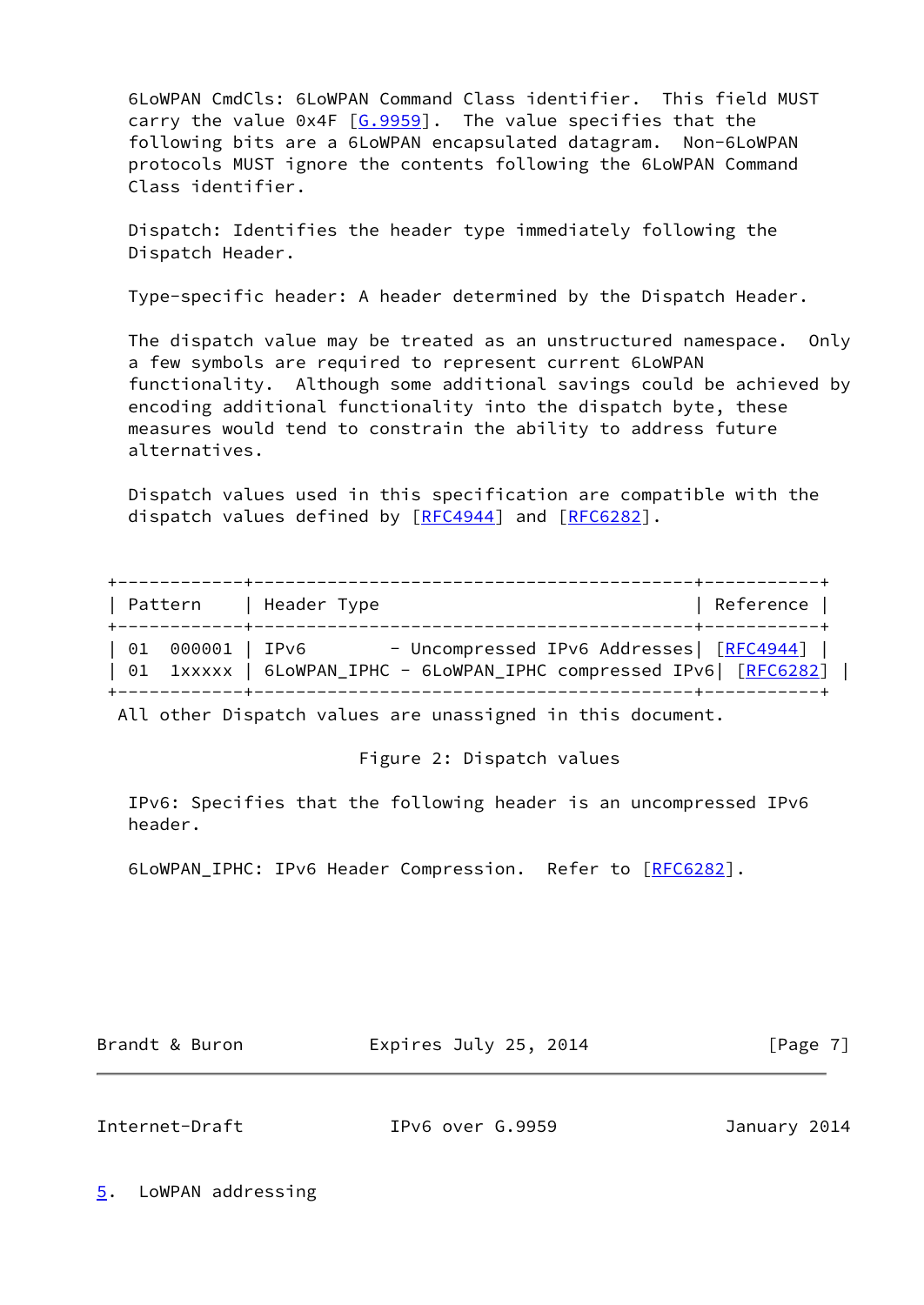6LoWPAN CmdCls: 6LoWPAN Command Class identifier. This field MUST carry the value  $0x4F$   $[6.9959]$ . The value specifies that the following bits are a 6LoWPAN encapsulated datagram. Non-6LoWPAN protocols MUST ignore the contents following the 6LoWPAN Command Class identifier.

 Dispatch: Identifies the header type immediately following the Dispatch Header.

Type-specific header: A header determined by the Dispatch Header.

 The dispatch value may be treated as an unstructured namespace. Only a few symbols are required to represent current 6LoWPAN functionality. Although some additional savings could be achieved by encoding additional functionality into the dispatch byte, these measures would tend to constrain the ability to address future alternatives.

 Dispatch values used in this specification are compatible with the dispatch values defined by [[RFC4944\]](https://datatracker.ietf.org/doc/pdf/rfc4944) and [\[RFC6282](https://datatracker.ietf.org/doc/pdf/rfc6282)].

| Pattern          | Header Type                              | Reference |
|------------------|------------------------------------------|-----------|
| 01 000001   IPv6 | - Uncompressed IPv6 Addresses  [RFC4944] |           |

All other Dispatch values are unassigned in this document.

Figure 2: Dispatch values

 IPv6: Specifies that the following header is an uncompressed IPv6 header.

6LoWPAN\_IPHC: IPv6 Header Compression. Refer to [\[RFC6282](https://datatracker.ietf.org/doc/pdf/rfc6282)].

Brandt & Buron **Expires July 25, 2014** [Page 7]

<span id="page-7-1"></span>Internet-Draft IPv6 over G.9959 January 2014

<span id="page-7-0"></span>[5](#page-7-0). LoWPAN addressing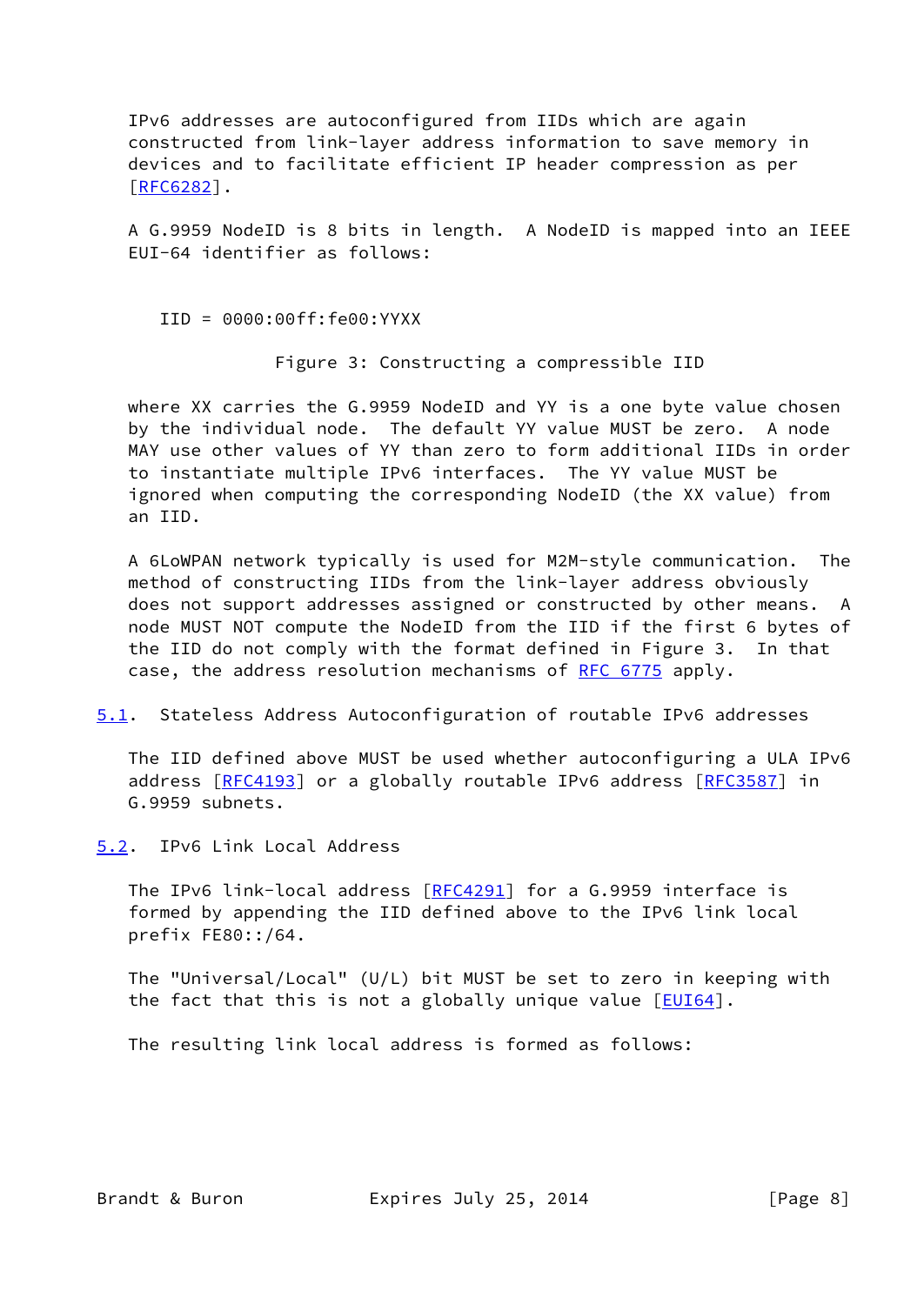IPv6 addresses are autoconfigured from IIDs which are again constructed from link-layer address information to save memory in devices and to facilitate efficient IP header compression as per [\[RFC6282](https://datatracker.ietf.org/doc/pdf/rfc6282)].

 A G.9959 NodeID is 8 bits in length. A NodeID is mapped into an IEEE EUI-64 identifier as follows:

IID = 0000:00ff:fe00:YYXX

Figure 3: Constructing a compressible IID

 where XX carries the G.9959 NodeID and YY is a one byte value chosen by the individual node. The default YY value MUST be zero. A node MAY use other values of YY than zero to form additional IIDs in order to instantiate multiple IPv6 interfaces. The YY value MUST be ignored when computing the corresponding NodeID (the XX value) from an IID.

 A 6LoWPAN network typically is used for M2M-style communication. The method of constructing IIDs from the link-layer address obviously does not support addresses assigned or constructed by other means. A node MUST NOT compute the NodeID from the IID if the first 6 bytes of the IID do not comply with the format defined in Figure 3. In that case, the address resolution mechanisms of [RFC 6775](https://datatracker.ietf.org/doc/pdf/rfc6775) apply.

<span id="page-8-1"></span>[5.1](#page-8-1). Stateless Address Autoconfiguration of routable IPv6 addresses

 The IID defined above MUST be used whether autoconfiguring a ULA IPv6 address [\[RFC4193](https://datatracker.ietf.org/doc/pdf/rfc4193)] or a globally routable IPv6 address [[RFC3587](https://datatracker.ietf.org/doc/pdf/rfc3587)] in G.9959 subnets.

<span id="page-8-0"></span>[5.2](#page-8-0). IPv6 Link Local Address

The IPv6 link-local address [\[RFC4291](https://datatracker.ietf.org/doc/pdf/rfc4291)] for a G.9959 interface is formed by appending the IID defined above to the IPv6 link local prefix FE80::/64.

 The "Universal/Local" (U/L) bit MUST be set to zero in keeping with the fact that this is not a globally unique value  $[EUI64]$  $[EUI64]$ .

The resulting link local address is formed as follows: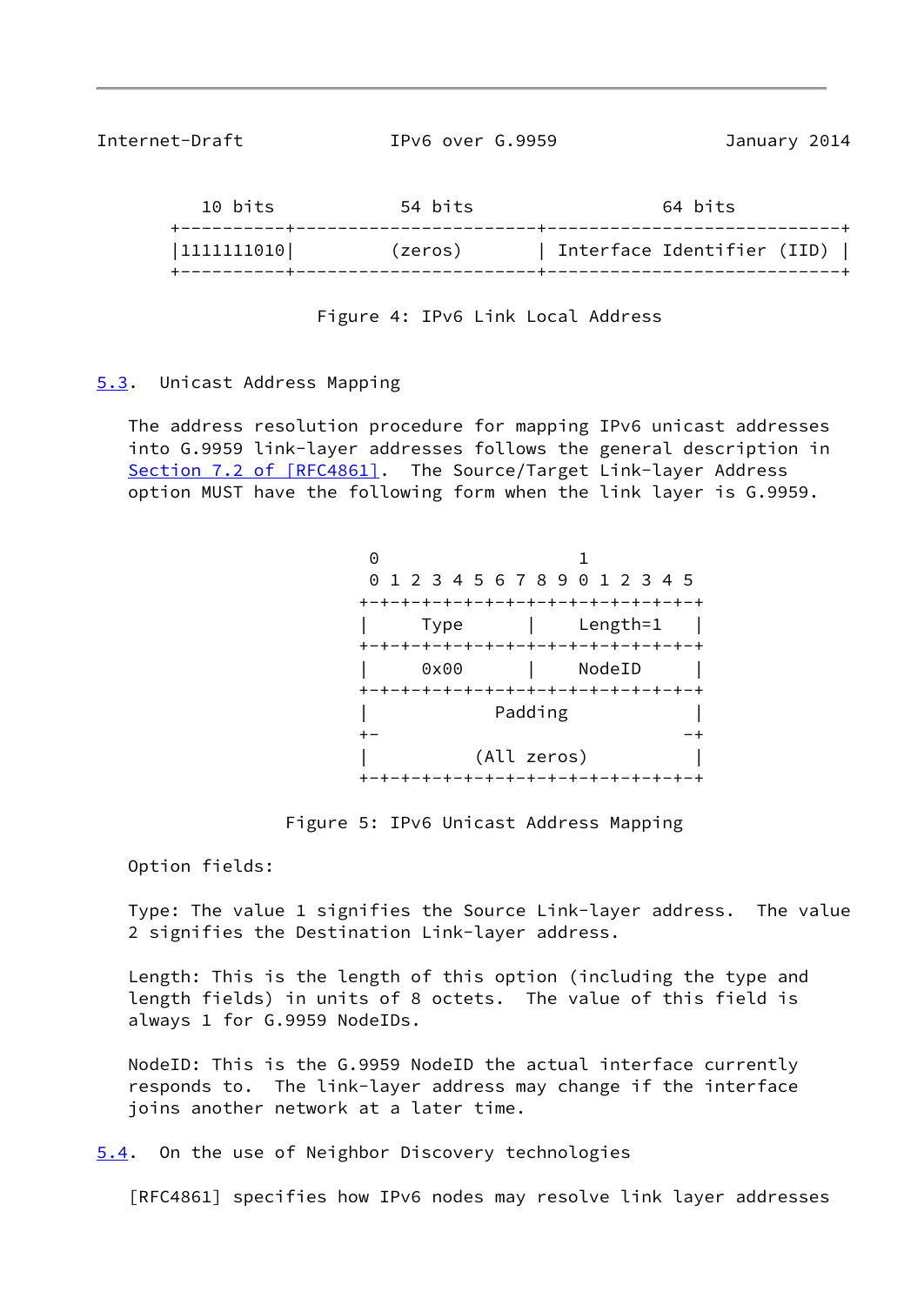<span id="page-9-1"></span>

| Internet-Draft |
|----------------|
|----------------|

IPv6 over G.9959 January 2014

| 10 bits    | 54 bits | 64 bits                    |  |
|------------|---------|----------------------------|--|
| 1111111010 | (zeros) | Interface Identifier (IID) |  |

Figure 4: IPv6 Link Local Address

## <span id="page-9-0"></span>[5.3](#page-9-0). Unicast Address Mapping

 The address resolution procedure for mapping IPv6 unicast addresses into G.9959 link-layer addresses follows the general description in Section [7.2 of \[RFC4861\]](https://datatracker.ietf.org/doc/pdf/rfc4861#section-7.2). The Source/Target Link-layer Address option MUST have the following form when the link layer is G.9959.

| Θ |      |             |                                     |    |
|---|------|-------------|-------------------------------------|----|
|   |      |             | 0 1 2 3 4 5 6 7 8 9 0 1 2 3 4 5     |    |
|   |      |             | +-+-+-+-+-+-+-+-+-+-+-+-+-+-+-+-+-+ |    |
|   | Type |             | Length=1                            |    |
|   |      |             | +-+-+-+-+-+-+-+-+-+-+-+-+-+-+-+-+   |    |
|   | 0x00 |             | NodeID                              |    |
|   |      |             | +-+-+-+-+-+-+-+-+-+-+-+-+-+-+-+-    |    |
|   |      | Padding     |                                     |    |
|   |      |             |                                     |    |
|   |      | (All zeros) |                                     |    |
|   |      |             | +-+-+-+-+-+-+-+-+-+-+-+-+-+         | -+ |

Figure 5: IPv6 Unicast Address Mapping

Option fields:

 Type: The value 1 signifies the Source Link-layer address. The value 2 signifies the Destination Link-layer address.

 Length: This is the length of this option (including the type and length fields) in units of 8 octets. The value of this field is always 1 for G.9959 NodeIDs.

 NodeID: This is the G.9959 NodeID the actual interface currently responds to. The link-layer address may change if the interface joins another network at a later time.

<span id="page-9-2"></span>[5.4](#page-9-2). On the use of Neighbor Discovery technologies

[RFC4861] specifies how IPv6 nodes may resolve link layer addresses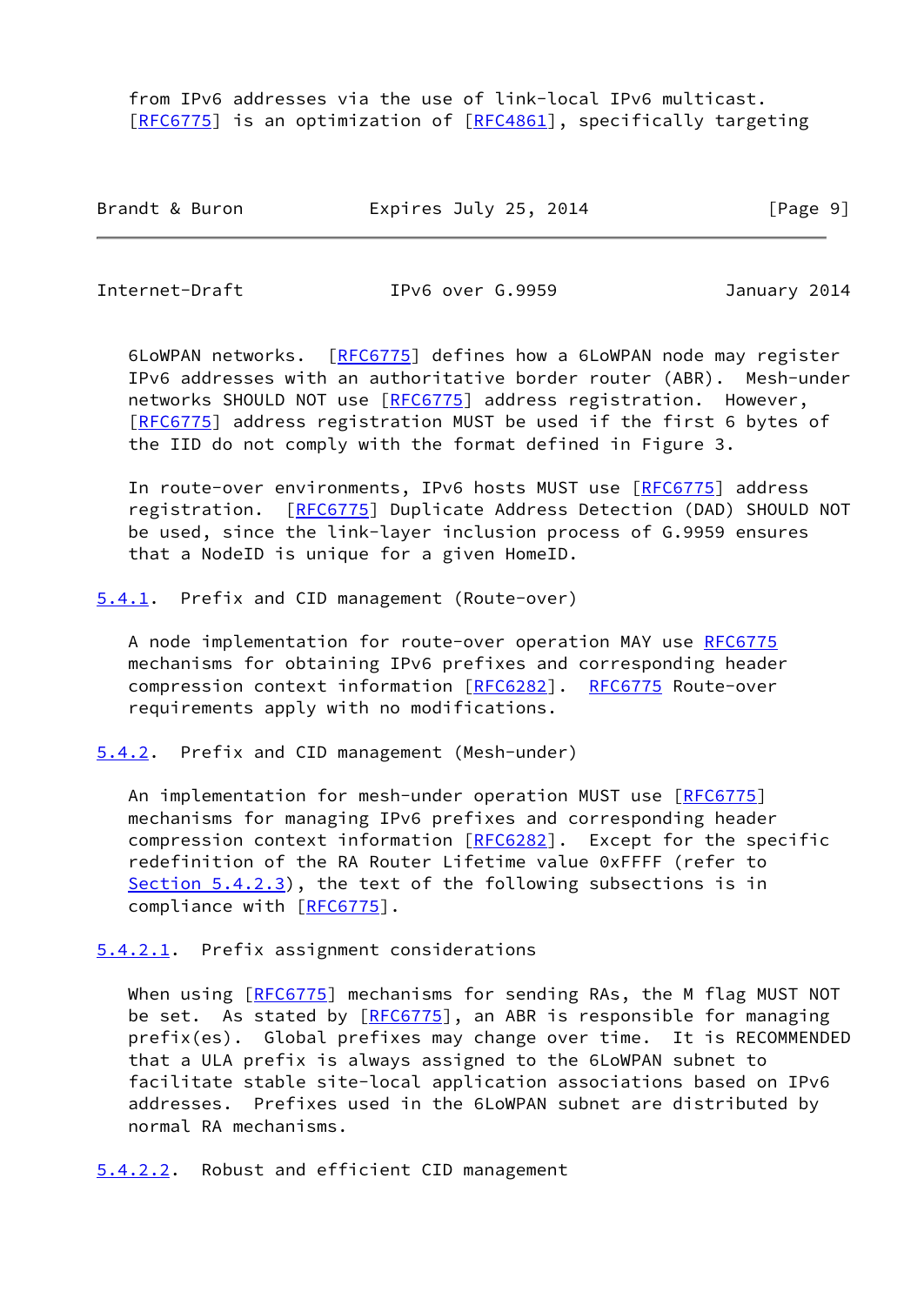from IPv6 addresses via the use of link-local IPv6 multicast. [\[RFC6775](https://datatracker.ietf.org/doc/pdf/rfc6775)] is an optimization of [\[RFC4861](https://datatracker.ietf.org/doc/pdf/rfc4861)], specifically targeting

| Brandt & Buron | Expires July 25, 2014 | [Page 9] |
|----------------|-----------------------|----------|
|----------------|-----------------------|----------|

<span id="page-10-1"></span>Internet-Draft IPv6 over G.9959 January 2014

 6LoWPAN networks. [[RFC6775\]](https://datatracker.ietf.org/doc/pdf/rfc6775) defines how a 6LoWPAN node may register IPv6 addresses with an authoritative border router (ABR). Mesh-under networks SHOULD NOT use [\[RFC6775](https://datatracker.ietf.org/doc/pdf/rfc6775)] address registration. However, [\[RFC6775](https://datatracker.ietf.org/doc/pdf/rfc6775)] address registration MUST be used if the first 6 bytes of the IID do not comply with the format defined in Figure 3.

In route-over environments, IPv6 hosts MUST use [\[RFC6775](https://datatracker.ietf.org/doc/pdf/rfc6775)] address registration. [\[RFC6775](https://datatracker.ietf.org/doc/pdf/rfc6775)] Duplicate Address Detection (DAD) SHOULD NOT be used, since the link-layer inclusion process of G.9959 ensures that a NodeID is unique for a given HomeID.

<span id="page-10-0"></span>[5.4.1](#page-10-0). Prefix and CID management (Route-over)

 A node implementation for route-over operation MAY use [RFC6775](https://datatracker.ietf.org/doc/pdf/rfc6775) mechanisms for obtaining IPv6 prefixes and corresponding header compression context information [\[RFC6282](https://datatracker.ietf.org/doc/pdf/rfc6282)]. [RFC6775](https://datatracker.ietf.org/doc/pdf/rfc6775) Route-over requirements apply with no modifications.

<span id="page-10-2"></span>[5.4.2](#page-10-2). Prefix and CID management (Mesh-under)

 An implementation for mesh-under operation MUST use [\[RFC6775](https://datatracker.ietf.org/doc/pdf/rfc6775)] mechanisms for managing IPv6 prefixes and corresponding header compression context information [\[RFC6282](https://datatracker.ietf.org/doc/pdf/rfc6282)]. Except for the specific redefinition of the RA Router Lifetime value 0xFFFF (refer to [Section 5.4.2.3](#page-11-2)), the text of the following subsections is in compliance with [\[RFC6775](https://datatracker.ietf.org/doc/pdf/rfc6775)].

<span id="page-10-3"></span>[5.4.2.1](#page-10-3). Prefix assignment considerations

When using [[RFC6775\]](https://datatracker.ietf.org/doc/pdf/rfc6775) mechanisms for sending RAs, the M flag MUST NOT be set. As stated by [[RFC6775](https://datatracker.ietf.org/doc/pdf/rfc6775)], an ABR is responsible for managing prefix(es). Global prefixes may change over time. It is RECOMMENDED that a ULA prefix is always assigned to the 6LoWPAN subnet to facilitate stable site-local application associations based on IPv6 addresses. Prefixes used in the 6LoWPAN subnet are distributed by normal RA mechanisms.

<span id="page-10-4"></span>[5.4.2.2](#page-10-4). Robust and efficient CID management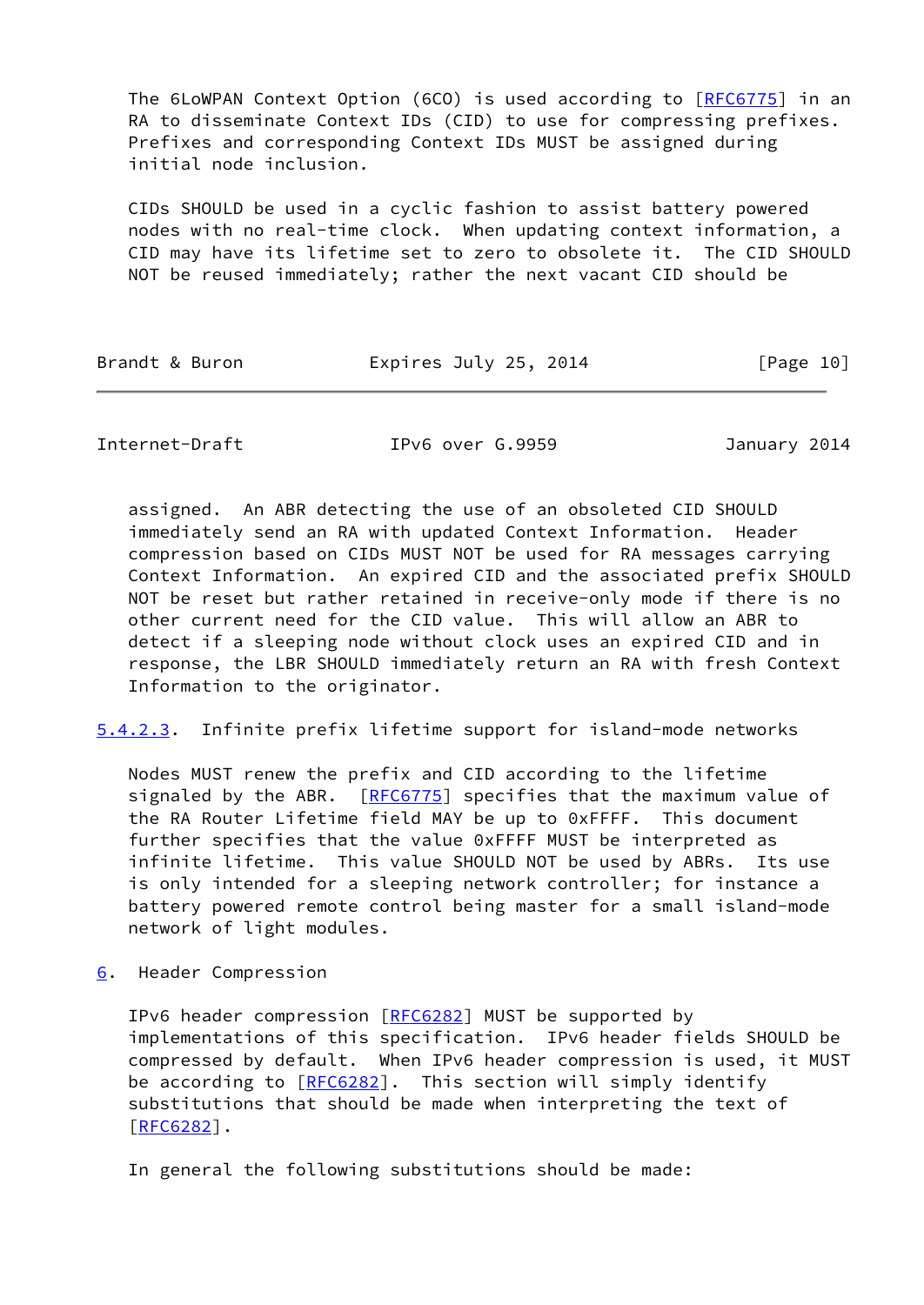The 6LoWPAN Context Option (6CO) is used according to [[RFC6775](https://datatracker.ietf.org/doc/pdf/rfc6775)] in an RA to disseminate Context IDs (CID) to use for compressing prefixes. Prefixes and corresponding Context IDs MUST be assigned during initial node inclusion.

 CIDs SHOULD be used in a cyclic fashion to assist battery powered nodes with no real-time clock. When updating context information, a CID may have its lifetime set to zero to obsolete it. The CID SHOULD NOT be reused immediately; rather the next vacant CID should be

| Brandt & Buron | Expires July 25, 2014 | [Page 10] |
|----------------|-----------------------|-----------|
|----------------|-----------------------|-----------|

<span id="page-11-1"></span>Internet-Draft IPv6 over G.9959 January 2014

 assigned. An ABR detecting the use of an obsoleted CID SHOULD immediately send an RA with updated Context Information. Header compression based on CIDs MUST NOT be used for RA messages carrying Context Information. An expired CID and the associated prefix SHOULD NOT be reset but rather retained in receive-only mode if there is no other current need for the CID value. This will allow an ABR to detect if a sleeping node without clock uses an expired CID and in response, the LBR SHOULD immediately return an RA with fresh Context Information to the originator.

<span id="page-11-2"></span>[5.4.2.3](#page-11-2). Infinite prefix lifetime support for island-mode networks

 Nodes MUST renew the prefix and CID according to the lifetime signaled by the ABR. [[RFC6775](https://datatracker.ietf.org/doc/pdf/rfc6775)] specifies that the maximum value of the RA Router Lifetime field MAY be up to 0xFFFF. This document further specifies that the value 0xFFFF MUST be interpreted as infinite lifetime. This value SHOULD NOT be used by ABRs. Its use is only intended for a sleeping network controller; for instance a battery powered remote control being master for a small island-mode network of light modules.

<span id="page-11-0"></span>[6](#page-11-0). Header Compression

 IPv6 header compression [\[RFC6282](https://datatracker.ietf.org/doc/pdf/rfc6282)] MUST be supported by implementations of this specification. IPv6 header fields SHOULD be compressed by default. When IPv6 header compression is used, it MUST be according to [\[RFC6282](https://datatracker.ietf.org/doc/pdf/rfc6282)]. This section will simply identify substitutions that should be made when interpreting the text of [\[RFC6282](https://datatracker.ietf.org/doc/pdf/rfc6282)].

In general the following substitutions should be made: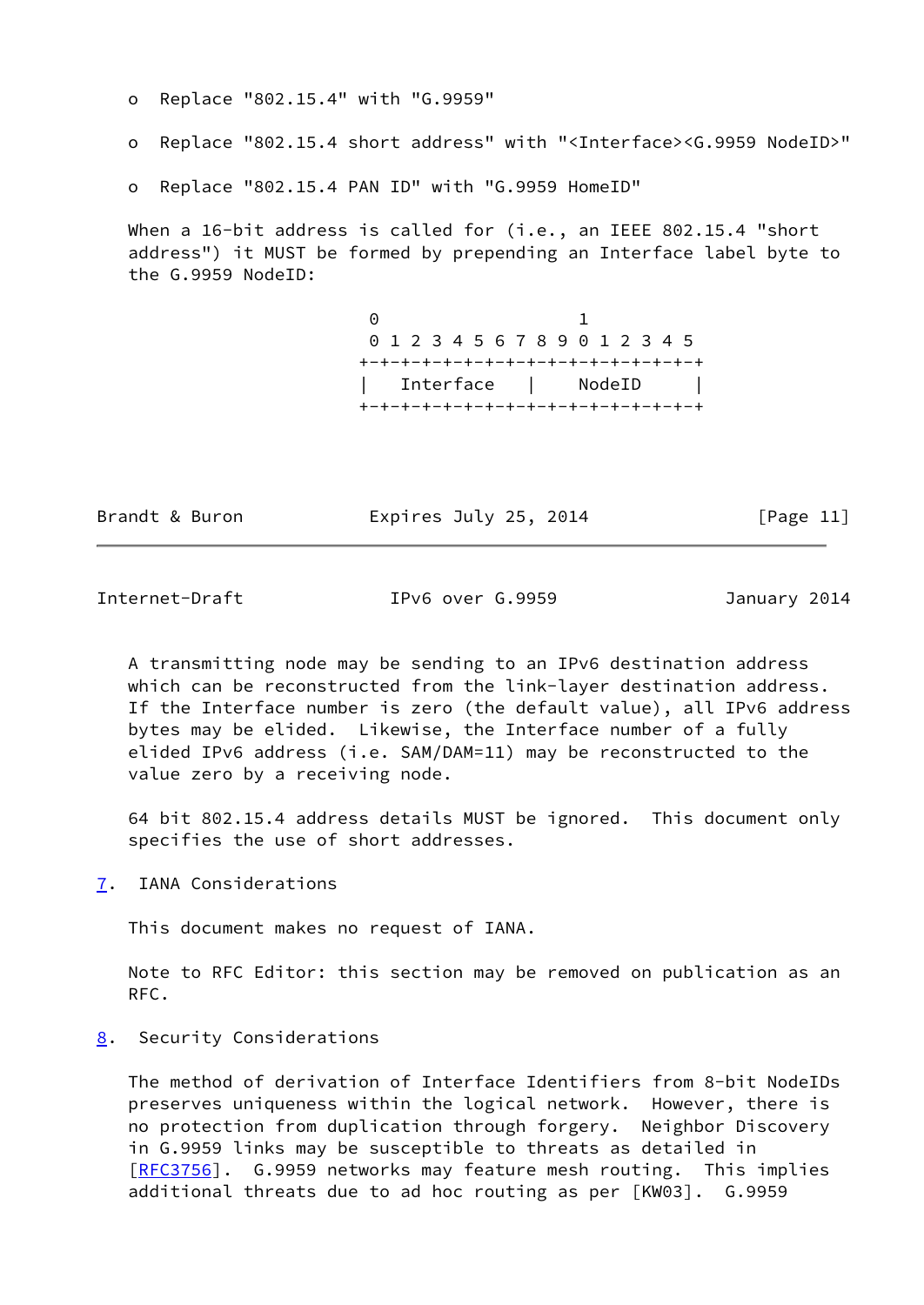o Replace "802.15.4" with "G.9959"

o Replace "802.15.4 short address" with "<Interface><G.9959 NodeID>"

o Replace "802.15.4 PAN ID" with "G.9959 HomeID"

When a 16-bit address is called for (i.e., an IEEE 802.15.4 "short address") it MUST be formed by prepending an Interface label byte to the G.9959 NodeID:

 0 1 0 1 2 3 4 5 6 7 8 9 0 1 2 3 4 5 +-+-+-+-+-+-+-+-+-+-+-+-+-+-+-+-+ | Interface | NodeID | +-+-+-+-+-+-+-+-+-+-+-+-+-+-+-+-+

Brandt & Buron **Expires July 25, 2014** [Page 11]

<span id="page-12-1"></span>Internet-Draft IPv6 over G.9959 January 2014

 A transmitting node may be sending to an IPv6 destination address which can be reconstructed from the link-layer destination address. If the Interface number is zero (the default value), all IPv6 address bytes may be elided. Likewise, the Interface number of a fully elided IPv6 address (i.e. SAM/DAM=11) may be reconstructed to the value zero by a receiving node.

 64 bit 802.15.4 address details MUST be ignored. This document only specifies the use of short addresses.

<span id="page-12-0"></span>[7](#page-12-0). IANA Considerations

This document makes no request of IANA.

 Note to RFC Editor: this section may be removed on publication as an RFC.

<span id="page-12-2"></span>[8](#page-12-2). Security Considerations

 The method of derivation of Interface Identifiers from 8-bit NodeIDs preserves uniqueness within the logical network. However, there is no protection from duplication through forgery. Neighbor Discovery in G.9959 links may be susceptible to threats as detailed in [\[RFC3756](https://datatracker.ietf.org/doc/pdf/rfc3756)]. G.9959 networks may feature mesh routing. This implies additional threats due to ad hoc routing as per [KW03]. G.9959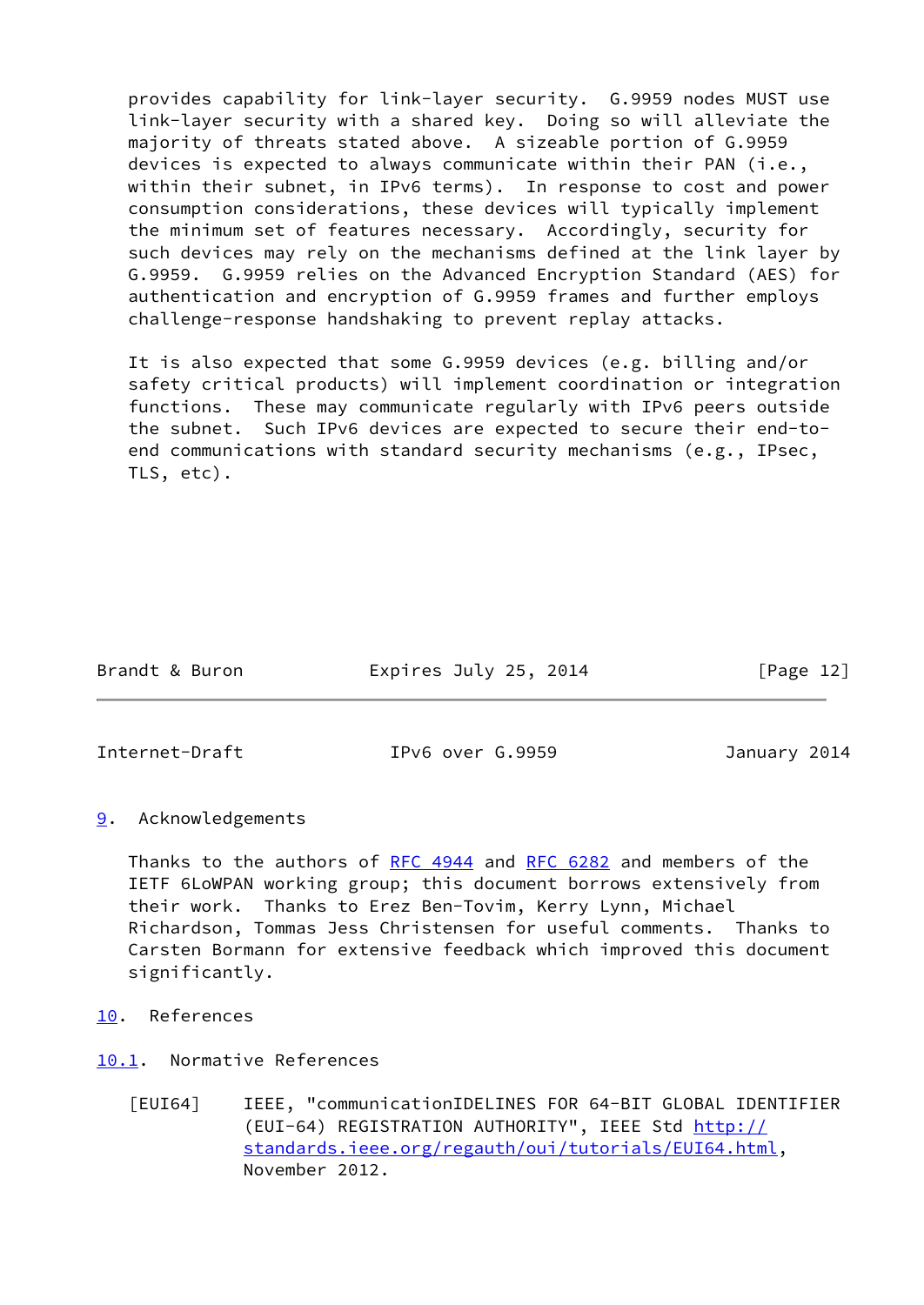provides capability for link-layer security. G.9959 nodes MUST use link-layer security with a shared key. Doing so will alleviate the majority of threats stated above. A sizeable portion of G.9959 devices is expected to always communicate within their PAN (i.e., within their subnet, in IPv6 terms). In response to cost and power consumption considerations, these devices will typically implement the minimum set of features necessary. Accordingly, security for such devices may rely on the mechanisms defined at the link layer by G.9959. G.9959 relies on the Advanced Encryption Standard (AES) for authentication and encryption of G.9959 frames and further employs challenge-response handshaking to prevent replay attacks.

 It is also expected that some G.9959 devices (e.g. billing and/or safety critical products) will implement coordination or integration functions. These may communicate regularly with IPv6 peers outside the subnet. Such IPv6 devices are expected to secure their end-to end communications with standard security mechanisms (e.g., IPsec, TLS, etc).

| Brandt & Buron | Expires July 25, 2014 | [Page 12] |
|----------------|-----------------------|-----------|
|                |                       |           |

<span id="page-13-1"></span>

Internet-Draft IPv6 over G.9959 January 2014

<span id="page-13-0"></span>[9](#page-13-0). Acknowledgements

Thanks to the authors of [RFC 4944](https://datatracker.ietf.org/doc/pdf/rfc4944) and [RFC 6282](https://datatracker.ietf.org/doc/pdf/rfc6282) and members of the IETF 6LoWPAN working group; this document borrows extensively from their work. Thanks to Erez Ben-Tovim, Kerry Lynn, Michael Richardson, Tommas Jess Christensen for useful comments. Thanks to Carsten Bormann for extensive feedback which improved this document significantly.

<span id="page-13-2"></span>[10.](#page-13-2) References

<span id="page-13-3"></span>[10.1](#page-13-3). Normative References

<span id="page-13-4"></span> [EUI64] IEEE, "communicationIDELINES FOR 64-BIT GLOBAL IDENTIFIER (EUI-64) REGISTRATION AUTHORITY", IEEE Std [http://](http://standards.ieee.org/regauth/oui/tutorials/EUI64.html) [standards.ieee.org/regauth/oui/tutorials/EUI64.html](http://standards.ieee.org/regauth/oui/tutorials/EUI64.html), November 2012.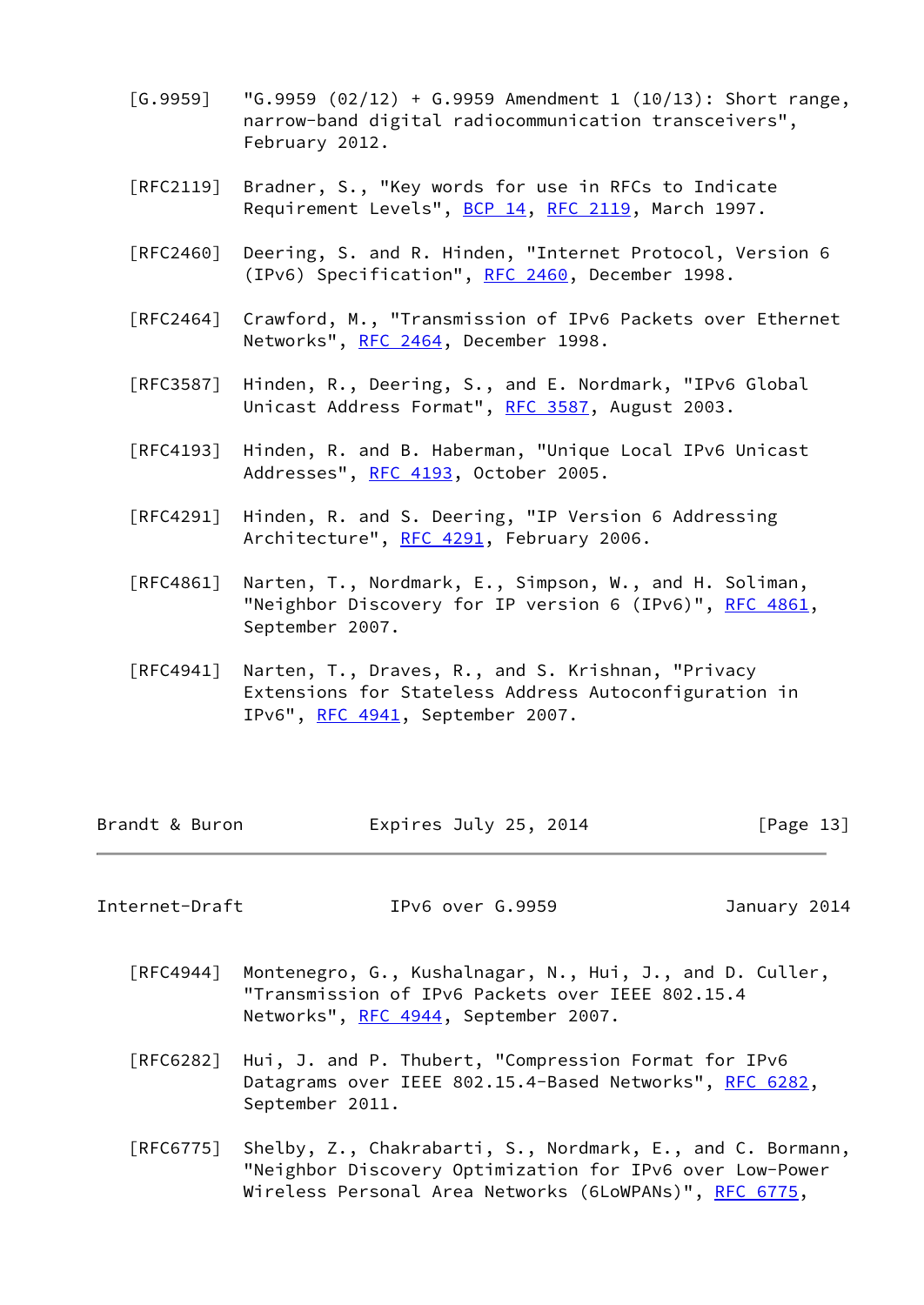- <span id="page-14-1"></span> $[G.9959]$  " $G.9959$   $(02/12)$  +  $G.9959$  Amendment 1  $(10/13)$ : Short range, narrow-band digital radiocommunication transceivers", February 2012.
- [RFC2119] Bradner, S., "Key words for use in RFCs to Indicate Requirement Levels", [BCP 14](https://datatracker.ietf.org/doc/pdf/bcp14), [RFC 2119](https://datatracker.ietf.org/doc/pdf/rfc2119), March 1997.
- [RFC2460] Deering, S. and R. Hinden, "Internet Protocol, Version 6 (IPv6) Specification", [RFC 2460](https://datatracker.ietf.org/doc/pdf/rfc2460), December 1998.
- [RFC2464] Crawford, M., "Transmission of IPv6 Packets over Ethernet Networks", [RFC 2464](https://datatracker.ietf.org/doc/pdf/rfc2464), December 1998.
- [RFC3587] Hinden, R., Deering, S., and E. Nordmark, "IPv6 Global Unicast Address Format", [RFC 3587,](https://datatracker.ietf.org/doc/pdf/rfc3587) August 2003.
- [RFC4193] Hinden, R. and B. Haberman, "Unique Local IPv6 Unicast Addresses", [RFC 4193,](https://datatracker.ietf.org/doc/pdf/rfc4193) October 2005.
- [RFC4291] Hinden, R. and S. Deering, "IP Version 6 Addressing Architecture", [RFC 4291](https://datatracker.ietf.org/doc/pdf/rfc4291), February 2006.
- [RFC4861] Narten, T., Nordmark, E., Simpson, W., and H. Soliman, "Neighbor Discovery for IP version 6 (IPv6)", [RFC 4861](https://datatracker.ietf.org/doc/pdf/rfc4861), September 2007.
- [RFC4941] Narten, T., Draves, R., and S. Krishnan, "Privacy Extensions for Stateless Address Autoconfiguration in IPv6", [RFC 4941](https://datatracker.ietf.org/doc/pdf/rfc4941), September 2007.

| Brandt & Buron | Expires July 25, 2014 | [Page 13] |
|----------------|-----------------------|-----------|
|----------------|-----------------------|-----------|

<span id="page-14-0"></span>Internet-Draft IPv6 over G.9959 January 2014

- [RFC4944] Montenegro, G., Kushalnagar, N., Hui, J., and D. Culler, "Transmission of IPv6 Packets over IEEE 802.15.4 Networks", [RFC 4944](https://datatracker.ietf.org/doc/pdf/rfc4944), September 2007.
- [RFC6282] Hui, J. and P. Thubert, "Compression Format for IPv6 Datagrams over IEEE 802.15.4-Based Networks", [RFC 6282](https://datatracker.ietf.org/doc/pdf/rfc6282), September 2011.
- [RFC6775] Shelby, Z., Chakrabarti, S., Nordmark, E., and C. Bormann, "Neighbor Discovery Optimization for IPv6 over Low-Power Wireless Personal Area Networks (6LoWPANs)", [RFC 6775](https://datatracker.ietf.org/doc/pdf/rfc6775),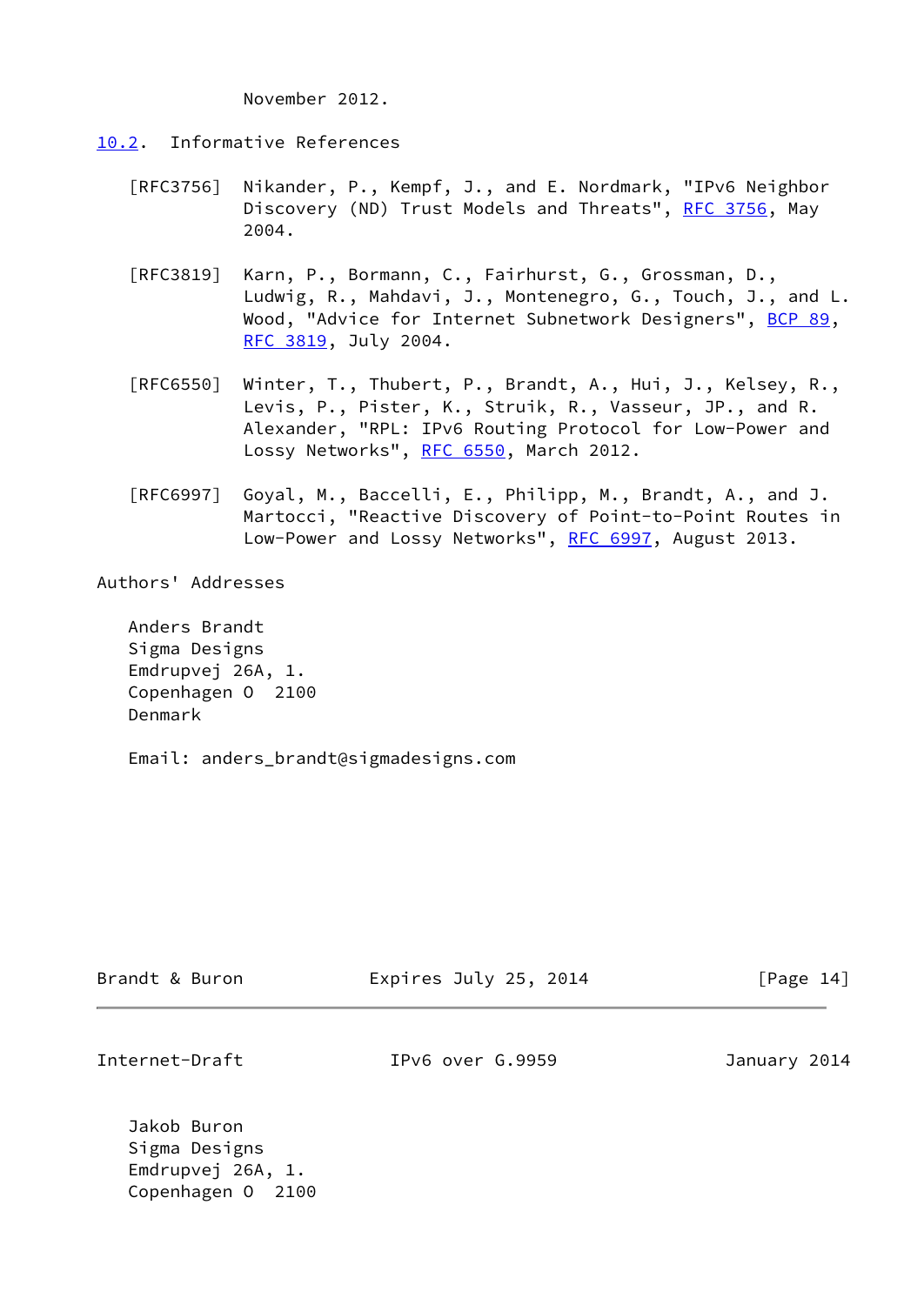November 2012.

- <span id="page-15-0"></span>[10.2](#page-15-0). Informative References
	- [RFC3756] Nikander, P., Kempf, J., and E. Nordmark, "IPv6 Neighbor Discovery (ND) Trust Models and Threats", [RFC 3756](https://datatracker.ietf.org/doc/pdf/rfc3756), May 2004.
	- [RFC3819] Karn, P., Bormann, C., Fairhurst, G., Grossman, D., Ludwig, R., Mahdavi, J., Montenegro, G., Touch, J., and L. Wood, "Advice for Internet Subnetwork Designers", [BCP 89](https://datatracker.ietf.org/doc/pdf/bcp89), [RFC 3819,](https://datatracker.ietf.org/doc/pdf/rfc3819) July 2004.
	- [RFC6550] Winter, T., Thubert, P., Brandt, A., Hui, J., Kelsey, R., Levis, P., Pister, K., Struik, R., Vasseur, JP., and R. Alexander, "RPL: IPv6 Routing Protocol for Low-Power and Lossy Networks", [RFC 6550,](https://datatracker.ietf.org/doc/pdf/rfc6550) March 2012.
	- [RFC6997] Goyal, M., Baccelli, E., Philipp, M., Brandt, A., and J. Martocci, "Reactive Discovery of Point-to-Point Routes in Low-Power and Lossy Networks", [RFC 6997](https://datatracker.ietf.org/doc/pdf/rfc6997), August 2013.

Authors' Addresses

 Anders Brandt Sigma Designs Emdrupvej 26A, 1. Copenhagen O 2100 Denmark

Email: anders\_brandt@sigmadesigns.com

| Brandt & Buron                         | Expires July 25, 2014 | [Page 14]    |
|----------------------------------------|-----------------------|--------------|
| Internet-Draft                         | IPy6 over G.9959      | January 2014 |
| Jakob Buron<br>Sigma Designs           |                       |              |
| Emdrupvej 26A, 1.<br>Copenhagen 0 2100 |                       |              |